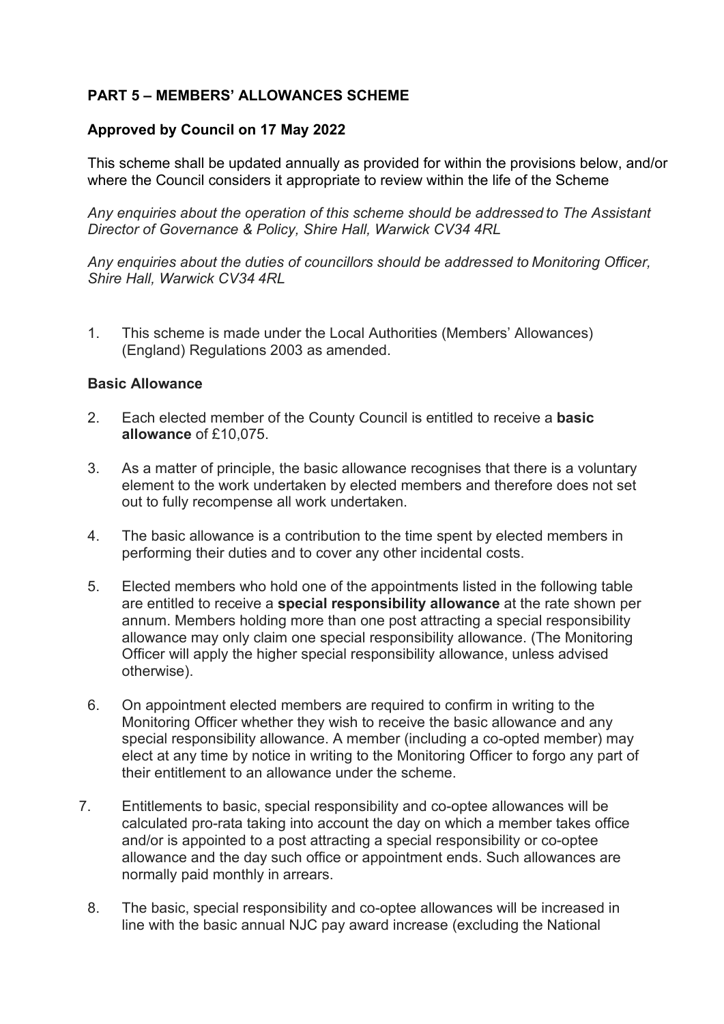# **PART 5 – MEMBERS' ALLOWANCES SCHEME**

### **Approved by Council on 17 May 2022**

This scheme shall be updated annually as provided for within the provisions below, and/or where the Council considers it appropriate to review within the life of the Scheme

*Any enquiries about the operation of this scheme should be addressed to The Assistant Director of Governance & Policy, Shire Hall, Warwick CV34 4RL*

*Any enquiries about the duties of councillors should be addressed to Monitoring Officer, Shire Hall, Warwick CV34 4RL*

1. This scheme is made under the Local Authorities (Members' Allowances) (England) Regulations 2003 as amended.

#### **Basic Allowance**

- 2. Each elected member of the County Council is entitled to receive a **basic allowance** of £10,075.
- 3. As a matter of principle, the basic allowance recognises that there is a voluntary element to the work undertaken by elected members and therefore does not set out to fully recompense all work undertaken.
- 4. The basic allowance is a contribution to the time spent by elected members in performing their duties and to cover any other incidental costs.
- 5. Elected members who hold one of the appointments listed in the following table are entitled to receive a **special responsibility allowance** at the rate shown per annum. Members holding more than one post attracting a special responsibility allowance may only claim one special responsibility allowance. (The Monitoring Officer will apply the higher special responsibility allowance, unless advised otherwise).
- 6. On appointment elected members are required to confirm in writing to the Monitoring Officer whether they wish to receive the basic allowance and any special responsibility allowance. A member (including a co-opted member) may elect at any time by notice in writing to the Monitoring Officer to forgo any part of their entitlement to an allowance under the scheme.
- 7. Entitlements to basic, special responsibility and co-optee allowances will be calculated pro-rata taking into account the day on which a member takes office and/or is appointed to a post attracting a special responsibility or co-optee allowance and the day such office or appointment ends. Such allowances are normally paid monthly in arrears.
	- 8. The basic, special responsibility and co-optee allowances will be increased in line with the basic annual NJC pay award increase (excluding the National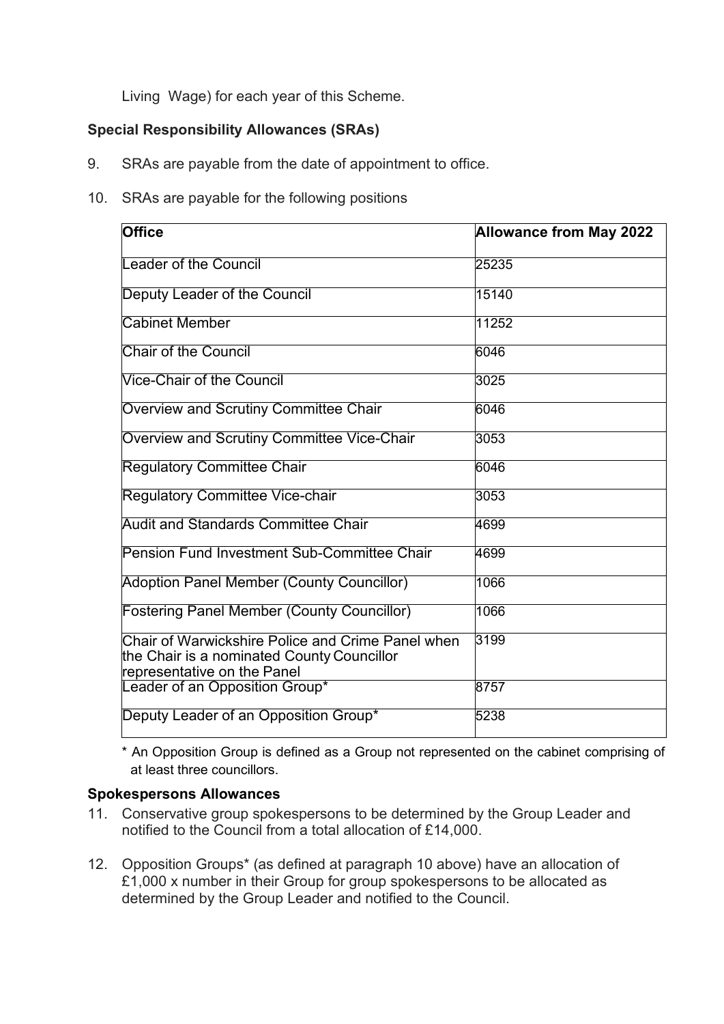Living Wage) for each year of this Scheme.

# **Special Responsibility Allowances (SRAs)**

9. SRAs are payable from the date of appointment to office.

# 10. SRAs are payable for the following positions

| <b>Office</b>                                                                                                                  | <b>Allowance from May 2022</b> |
|--------------------------------------------------------------------------------------------------------------------------------|--------------------------------|
|                                                                                                                                |                                |
| <b>Leader of the Council</b>                                                                                                   | 25235                          |
| Deputy Leader of the Council                                                                                                   | 15140                          |
| <b>Cabinet Member</b>                                                                                                          | 11252                          |
| <b>Chair of the Council</b>                                                                                                    | 6046                           |
| Vice-Chair of the Council                                                                                                      | 3025                           |
| <b>Overview and Scrutiny Committee Chair</b>                                                                                   | 6046                           |
| <b>Overview and Scrutiny Committee Vice-Chair</b>                                                                              | 3053                           |
| <b>Regulatory Committee Chair</b>                                                                                              | 6046                           |
| <b>Regulatory Committee Vice-chair</b>                                                                                         | 3053                           |
| <b>Audit and Standards Committee Chair</b>                                                                                     | 4699                           |
| <b>Pension Fund Investment Sub-Committee Chair</b>                                                                             | 4699                           |
| <b>Adoption Panel Member (County Councillor)</b>                                                                               | 1066                           |
| <b>Fostering Panel Member (County Councillor)</b>                                                                              | 1066                           |
| Chair of Warwickshire Police and Crime Panel when<br>the Chair is a nominated County Councillor<br>representative on the Panel | 3199                           |
| Leader of an Opposition Group*                                                                                                 | 8757                           |
| Deputy Leader of an Opposition Group*                                                                                          | 5238                           |

\* An Opposition Group is defined as a Group not represented on the cabinet comprising of at least three councillors.

## **Spokespersons Allowances**

- 11. Conservative group spokespersons to be determined by the Group Leader and notified to the Council from a total allocation of £14,000.
- 12. Opposition Groups\* (as defined at paragraph 10 above) have an allocation of £1,000 x number in their Group for group spokespersons to be allocated as determined by the Group Leader and notified to the Council.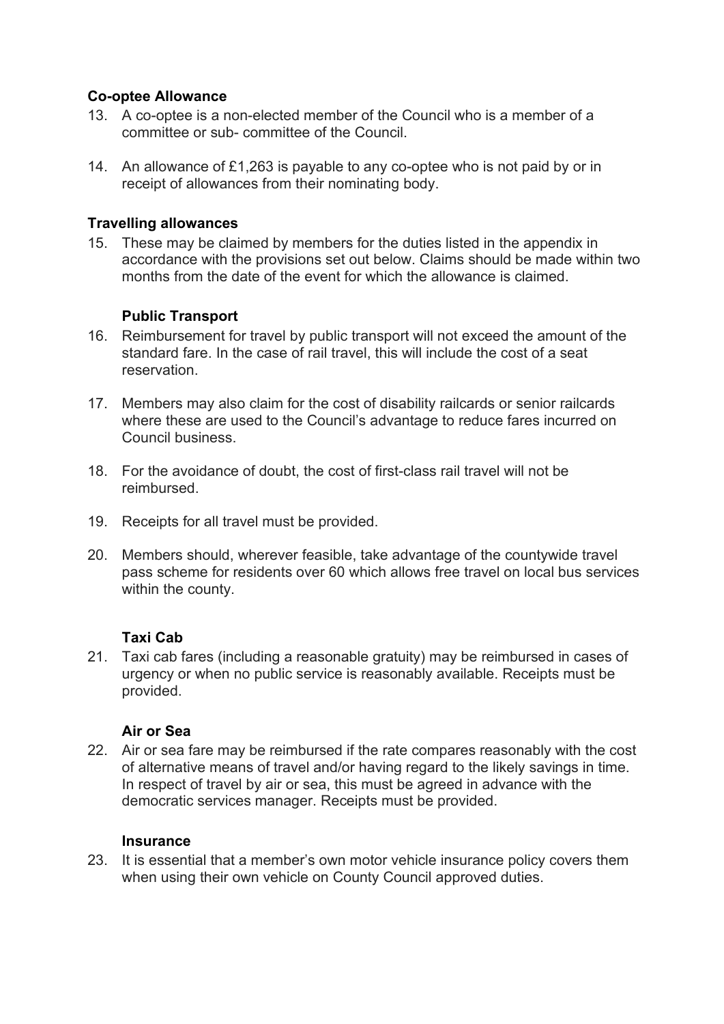## **Co-optee Allowance**

- 13. A co-optee is a non-elected member of the Council who is a member of a committee or sub- committee of the Council.
- 14. An allowance of £1,263 is payable to any co-optee who is not paid by or in receipt of allowances from their nominating body.

### **Travelling allowances**

15. These may be claimed by members for the duties listed in the appendix in accordance with the provisions set out below. Claims should be made within two months from the date of the event for which the allowance is claimed.

# **Public Transport**

- 16. Reimbursement for travel by public transport will not exceed the amount of the standard fare. In the case of rail travel, this will include the cost of a seat reservation.
- 17. Members may also claim for the cost of disability railcards or senior railcards where these are used to the Council's advantage to reduce fares incurred on Council business.
- 18. For the avoidance of doubt, the cost of first-class rail travel will not be reimbursed.
- 19. Receipts for all travel must be provided.
- 20. Members should, wherever feasible, take advantage of the countywide travel pass scheme for residents over 60 which allows free travel on local bus services within the county.

#### **Taxi Cab**

21. Taxi cab fares (including a reasonable gratuity) may be reimbursed in cases of urgency or when no public service is reasonably available. Receipts must be provided.

#### **Air or Sea**

22. Air or sea fare may be reimbursed if the rate compares reasonably with the cost of alternative means of travel and/or having regard to the likely savings in time. In respect of travel by air or sea, this must be agreed in advance with the democratic services manager. Receipts must be provided.

#### **Insurance**

23. It is essential that a member's own motor vehicle insurance policy covers them when using their own vehicle on County Council approved duties.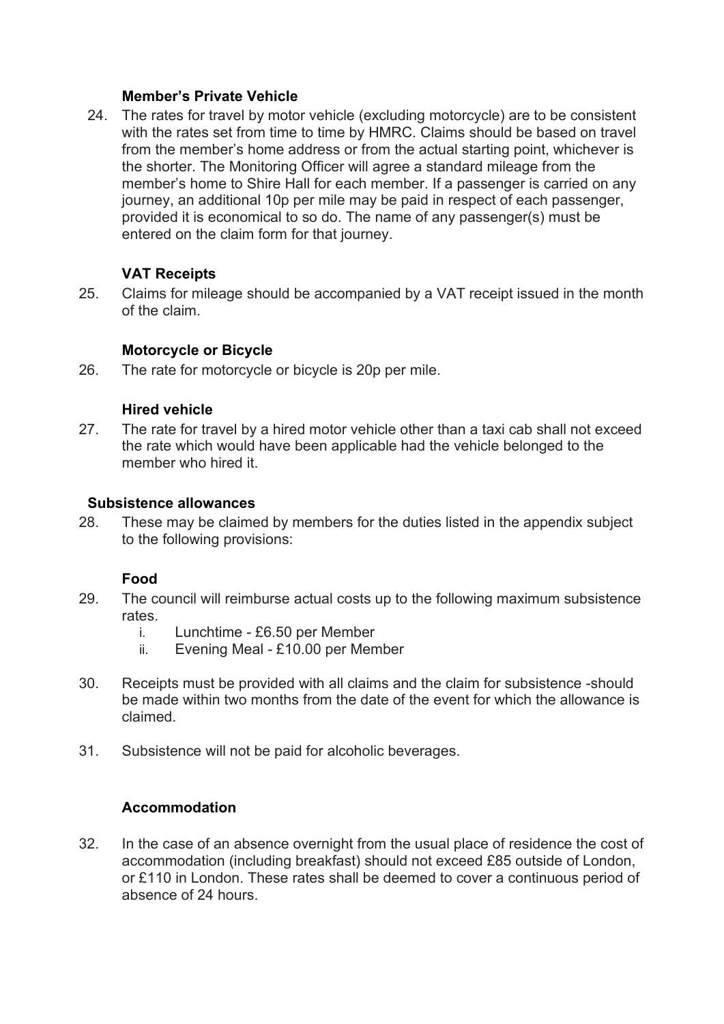### **Member's Private Vehicle**

24. The rates for travel by motor vehicle (excluding motorcycle) are to be consistent with the rates set from time to time by HMRC. Claims should be based on travel from the member's home address or from the actual starting point, whichever is the shorter. The Monitoring Officer will agree a standard mileage from the member's home to Shire Hall for each member. If a passenger is carried on any journey, an additional 10p per mile may be paid in respect of each passenger, provided it is economical to so do. The name of any passenger(s) must be entered on the claim form for that journey.

# **VAT Receipts**

25. Claims for mileage should be accompanied by a VAT receipt issued in the month of the claim.

## **Motorcycle or Bicycle**

26. The rate for motorcycle or bicycle is 20p per mile.

#### **Hired vehicle**

27. The rate for travel by a hired motor vehicle other than a taxi cab shall not exceed the rate which would have been applicable had the vehicle belonged to the member who hired it.

### **Subsistence allowances**

28. These may be claimed by members for the duties listed in the appendix subject to the following provisions:

#### **Food**

- 29. The council will reimburse actual costs up to the following maximum subsistence rates.
	- i. Lunchtime £6.50 per Member
	- ii. Evening Meal £10.00 per Member
- 30. Receipts must be provided with all claims and the claim for subsistence -should be made within two months from the date of the event for which the allowance is claimed.
- 31. Subsistence will not be paid for alcoholic beverages.

## **Accommodation**

32. In the case of an absence overnight from the usual place of residence the cost of accommodation (including breakfast) should not exceed £85 outside of London, or £110 in London. These rates shall be deemed to cover a continuous period of absence of 24 hours.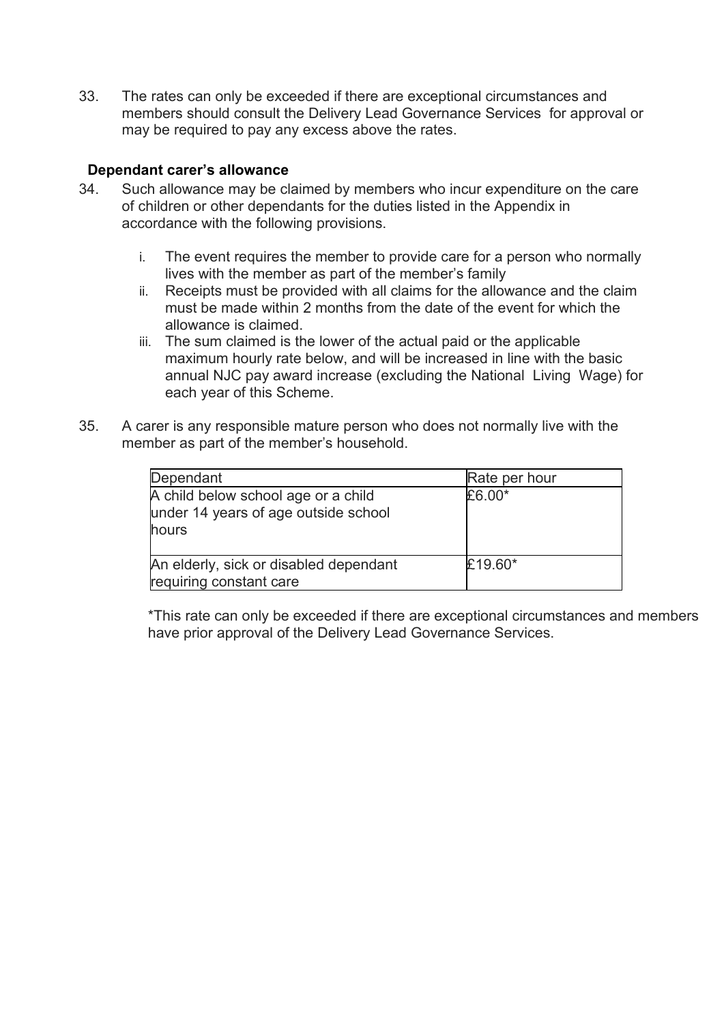33. The rates can only be exceeded if there are exceptional circumstances and members should consult the Delivery Lead Governance Services for approval or may be required to pay any excess above the rates.

## **Dependant carer's allowance**

- 34. Such allowance may be claimed by members who incur expenditure on the care of children or other dependants for the duties listed in the Appendix in accordance with the following provisions.
	- i. The event requires the member to provide care for a person who normally lives with the member as part of the member's family
	- ii. Receipts must be provided with all claims for the allowance and the claim must be made within 2 months from the date of the event for which the allowance is claimed.
	- iii. The sum claimed is the lower of the actual paid or the applicable maximum hourly rate below, and will be increased in line with the basic annual NJC pay award increase (excluding the National Living Wage) for each year of this Scheme.
- 35. A carer is any responsible mature person who does not normally live with the member as part of the member's household.

| Dependant                                                                            | Rate per hour |
|--------------------------------------------------------------------------------------|---------------|
| A child below school age or a child<br>under 14 years of age outside school<br>hours | £6.00*        |
| An elderly, sick or disabled dependant<br>requiring constant care                    | £19.60 $*$    |

\*This rate can only be exceeded if there are exceptional circumstances and members have prior approval of the Delivery Lead Governance Services.